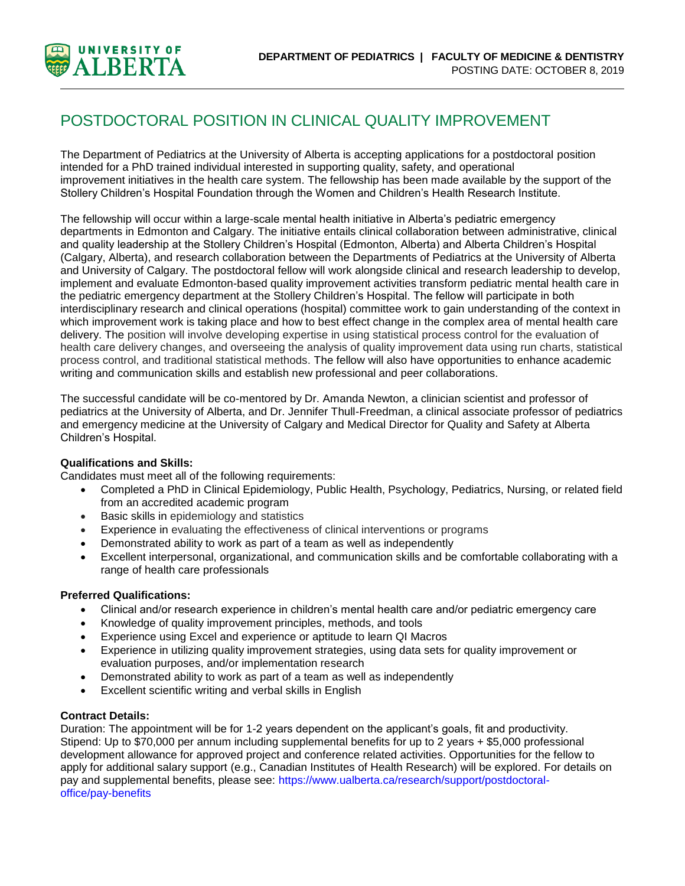

# POSTDOCTORAL POSITION IN CLINICAL QUALITY IMPROVEMENT

The Department of Pediatrics at the University of Alberta is accepting applications for a postdoctoral position intended for a PhD trained individual interested in supporting quality, safety, and operational improvement initiatives in the health care system. The fellowship has been made available by the support of the Stollery Children's Hospital Foundation through the Women and Children's Health Research Institute.

The fellowship will occur within a large-scale mental health initiative in Alberta's pediatric emergency departments in Edmonton and Calgary. The initiative entails clinical collaboration between administrative, clinical and quality leadership at the Stollery Children's Hospital (Edmonton, Alberta) and Alberta Children's Hospital (Calgary, Alberta), and research collaboration between the Departments of Pediatrics at the University of Alberta and University of Calgary. The postdoctoral fellow will work alongside clinical and research leadership to develop, implement and evaluate Edmonton-based quality improvement activities transform pediatric mental health care in the pediatric emergency department at the Stollery Children's Hospital. The fellow will participate in both interdisciplinary research and clinical operations (hospital) committee work to gain understanding of the context in which improvement work is taking place and how to best effect change in the complex area of mental health care delivery. The position will involve developing expertise in using statistical process control for the evaluation of health care delivery changes, and overseeing the analysis of quality improvement data using run charts, statistical process control, and traditional statistical methods. The fellow will also have opportunities to enhance academic writing and communication skills and establish new professional and peer collaborations.

The successful candidate will be co-mentored by Dr. Amanda Newton, a clinician scientist and professor of pediatrics at the University of Alberta, and Dr. Jennifer Thull-Freedman, a clinical associate professor of pediatrics and emergency medicine at the University of Calgary and Medical Director for Quality and Safety at Alberta Children's Hospital.

#### **Qualifications and Skills:**

Candidates must meet all of the following requirements:

- Completed a PhD in Clinical Epidemiology, Public Health, Psychology, Pediatrics, Nursing, or related field from an accredited academic program
- Basic skills in epidemiology and statistics
- Experience in evaluating the effectiveness of clinical interventions or programs
- Demonstrated ability to work as part of a team as well as independently
- Excellent interpersonal, organizational, and communication skills and be comfortable collaborating with a range of health care professionals

#### **Preferred Qualifications:**

- Clinical and/or research experience in children's mental health care and/or pediatric emergency care
- Knowledge of quality improvement principles, methods, and tools
- Experience using Excel and experience or aptitude to learn QI Macros
- Experience in utilizing quality improvement strategies, using data sets for quality improvement or evaluation purposes, and/or implementation research
- Demonstrated ability to work as part of a team as well as independently
- Excellent scientific writing and verbal skills in English

#### **Contract Details:**

Duration: The appointment will be for 1-2 years dependent on the applicant's goals, fit and productivity. Stipend: Up to \$70,000 per annum including supplemental benefits for up to 2 years + \$5,000 professional development allowance for approved project and conference related activities. Opportunities for the fellow to apply for additional salary support (e.g., Canadian Institutes of Health Research) will be explored. For details on pay and supplemental benefits, please see: https://www.ualberta.ca/research/support/postdoctoraloffice/pay-benefits